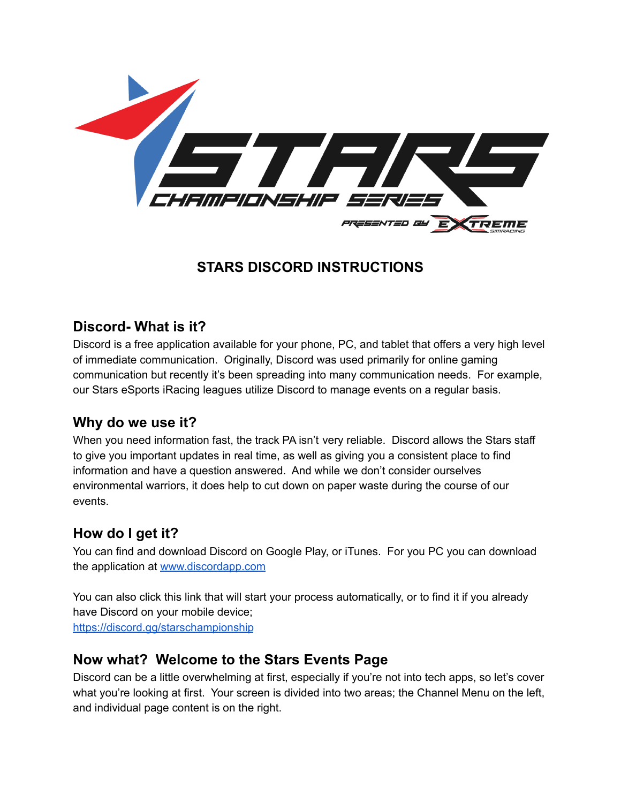

# **STARS DISCORD INSTRUCTIONS**

## **Discord- What is it?**

Discord is a free application available for your phone, PC, and tablet that offers a very high level of immediate communication. Originally, Discord was used primarily for online gaming communication but recently it's been spreading into many communication needs. For example, our Stars eSports iRacing leagues utilize Discord to manage events on a regular basis.

## **Why do we use it?**

When you need information fast, the track PA isn't very reliable. Discord allows the Stars staff to give you important updates in real time, as well as giving you a consistent place to find information and have a question answered. And while we don't consider ourselves environmental warriors, it does help to cut down on paper waste during the course of our events.

## **How do I get it?**

You can find and download Discord on Google Play, or iTunes. For you PC you can download the application at [www.discordapp.com](http://www.discordapp.com)

You can also click this link that will start your process automatically, or to find it if you already have Discord on your mobile device; <https://discord.gg/starschampionship>

## **Now what? Welcome to the Stars Events Page**

Discord can be a little overwhelming at first, especially if you're not into tech apps, so let's cover what you're looking at first. Your screen is divided into two areas; the Channel Menu on the left, and individual page content is on the right.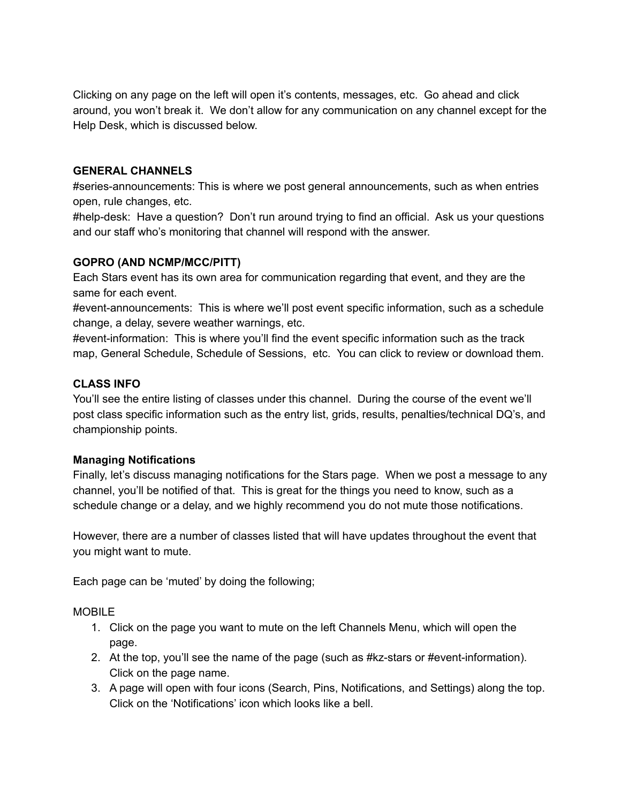Clicking on any page on the left will open it's contents, messages, etc. Go ahead and click around, you won't break it. We don't allow for any communication on any channel except for the Help Desk, which is discussed below.

#### **GENERAL CHANNELS**

#series-announcements: This is where we post general announcements, such as when entries open, rule changes, etc.

#help-desk: Have a question? Don't run around trying to find an official. Ask us your questions and our staff who's monitoring that channel will respond with the answer.

#### **GOPRO (AND NCMP/MCC/PITT)**

Each Stars event has its own area for communication regarding that event, and they are the same for each event.

#event-announcements: This is where we'll post event specific information, such as a schedule change, a delay, severe weather warnings, etc.

#event-information: This is where you'll find the event specific information such as the track map, General Schedule, Schedule of Sessions, etc. You can click to review or download them.

#### **CLASS INFO**

You'll see the entire listing of classes under this channel. During the course of the event we'll post class specific information such as the entry list, grids, results, penalties/technical DQ's, and championship points.

#### **Managing Notifications**

Finally, let's discuss managing notifications for the Stars page. When we post a message to any channel, you'll be notified of that. This is great for the things you need to know, such as a schedule change or a delay, and we highly recommend you do not mute those notifications.

However, there are a number of classes listed that will have updates throughout the event that you might want to mute.

Each page can be 'muted' by doing the following;

MOBILE

- 1. Click on the page you want to mute on the left Channels Menu, which will open the page.
- 2. At the top, you'll see the name of the page (such as #kz-stars or #event-information). Click on the page name.
- 3. A page will open with four icons (Search, Pins, Notifications, and Settings) along the top. Click on the 'Notifications' icon which looks like a bell.